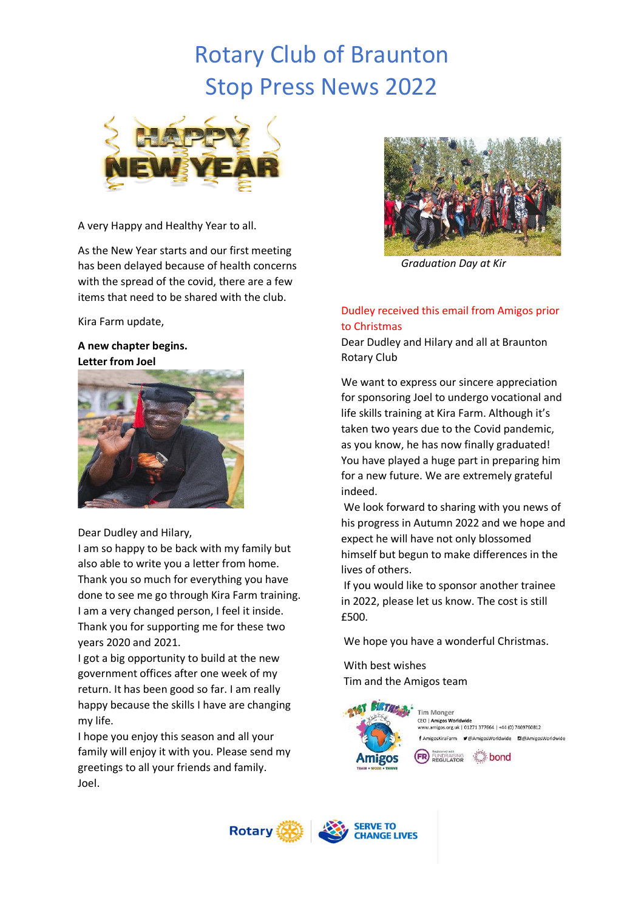# Rotary Club of Braunton Stop Press News 2022



A very Happy and Healthy Year to all.

As the New Year starts and our first meeting has been delayed because of health concerns with the spread of the covid, there are a few items that need to be shared with the club.

Kira Farm update,

#### **A new chapter begins. Letter from Joel**



Dear Dudley and Hilary,

I am so happy to be back with my family but also able to write you a letter from home. Thank you so much for everything you have done to see me go through Kira Farm training. I am a very changed person, I feel it inside. Thank you for supporting me for these two years 2020 and 2021.

I got a big opportunity to build at the new government offices after one week of my return. It has been good so far. I am really happy because the skills I have are changing my life.

I hope you enjoy this season and all your family will enjoy it with you. Please send my greetings to all your friends and family. Joel.



*Graduation Day at Kir*

### Dudley received this email from Amigos prior to Christmas

Dear Dudley and Hilary and all at Braunton Rotary Club

We want to express our sincere appreciation for sponsoring Joel to undergo vocational and life skills training at Kira Farm. Although it's taken two years due to the Covid pandemic, as you know, he has now finally graduated! You have played a huge part in preparing him for a new future. We are extremely grateful indeed.

We look forward to sharing with you news of his progress in Autumn 2022 and we hope and expect he will have not only blossomed himself but begun to make differences in the lives of others.

If you would like to sponsor another trainee in 2022, please let us know. The cost is still £500.

We hope you have a wonderful Christmas.

With best wishes Tim and the Amigos team



Tim Monger CEO | Amigos Worldwide .amigos.org.uk | 01271 377664 | +44 (0) 7469760812 f AmigosKiraFarm V@AmigosWorldwide @@AmigosWorldwide